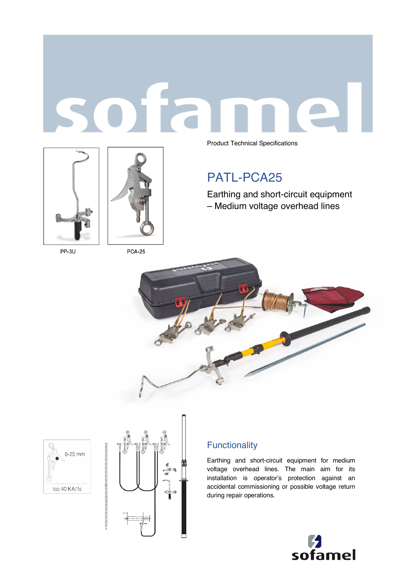



PP-3U

Product Technical Specifications

# PATL-PCA25

Earthing and short-circuit equipment – Medium voltage overhead lines



6-25 mm Icc 40 KA/1s



## **Functionality**

Earthing and short-circuit equipment for medium voltage overhead lines. The main aim for its installation is operator's protection against an accidental commissioning or possible voltage return during repair operations.